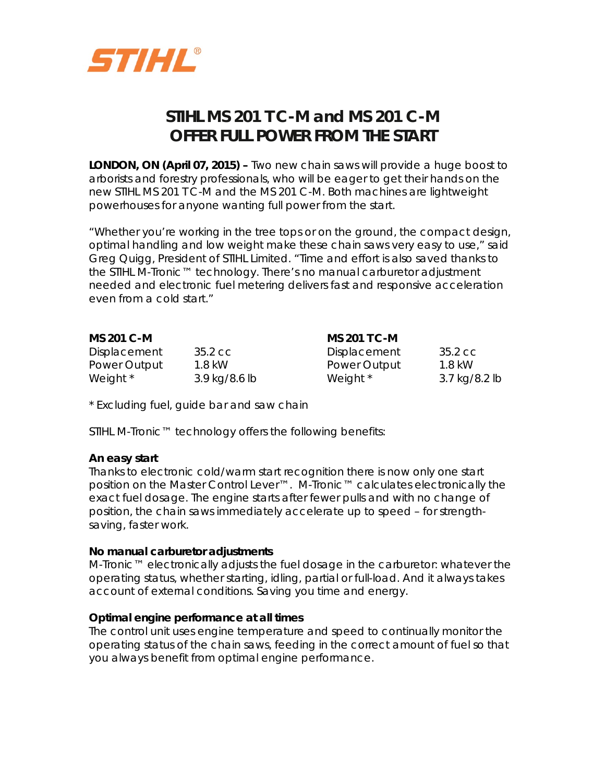

# **STIHL MS 201 T C-M and MS 201 C-M OFFER FULL POWER FROM THE START**

**LONDON, ON (April 07, 2015) –** Two new chain saws will provide a huge boost to arborists and forestry professionals, who will be eager to get their hands on the new STIHL MS 201 T C-M and the MS 201 C-M. Both machines are lightweight powerhouses for anyone wanting full power from the start.

"Whether you're working in the tree tops or on the ground, the compact design, optimal handling and low weight make these chain saws very easy to use," said Greg Quigg, President of STIHL Limited. "Time and effort is also saved thanks to the STIHL M-Tronic™ technology. There's no manual carburetor adjustment needed and electronic fuel metering delivers fast and responsive acceleration even from a cold start."

| MS 201 C-M          |               | <b>MS 201 T C-M</b> |               |
|---------------------|---------------|---------------------|---------------|
| <b>Displacement</b> | 35.2 cc       | <b>Displacement</b> | 35.2 cc       |
| Power Output        | 1.8 kW        | Power Output        | 1.8 kW        |
| Weight *            | 3.9 kg/8.6 lb | Weight *            | 3.7 kg/8.2 lb |

\* Excluding fuel, guide bar and saw chain

STIHL M-Tronic™ technology offers the following benefits:

#### **An easy start**

Thanks to electronic cold/warm start recognition there is now only one start position on the Master Control Lever™. M-Tronic™ calculates electronically the exact fuel dosage. The engine starts after fewer pulls and with no change of position, the chain saws immediately accelerate up to speed – for strengthsaving, faster work.

#### **No manual carburetor adjustments**

M-Tronic™ electronically adjusts the fuel dosage in the carburetor: whatever the operating status, whether starting, idling, partial or full-load. And it always takes account of external conditions. Saving you time and energy.

#### **Optimal engine performance at all times**

The control unit uses engine temperature and speed to continually monitor the operating status of the chain saws, feeding in the correct amount of fuel so that you always benefit from optimal engine performance.